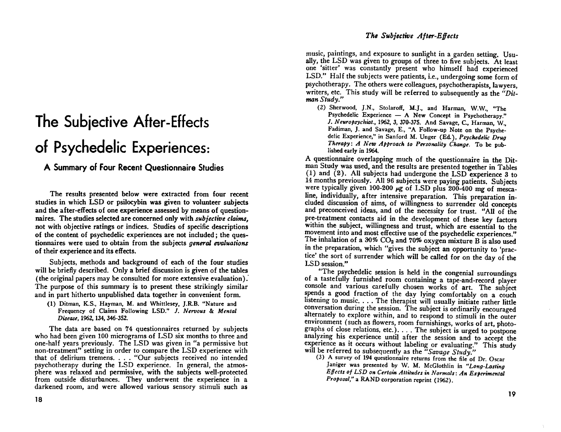## The Subjective After-Effects of Psychedelic Experiences:

A Summary of Four Recent Questionnaire Studies

The results presented below were extracted from four recent studies in which LSD or psilocybin was given to volunteer subjects and the after-effects of one experience assessed by means of questionnaires. The studies selected are concerned only with *subjective claims*. not with objective ratings or indices. Studies of specific descriptions of the content of psychedelic experiences are not included; the questionnaires were used to obtain from the subjects *general evaluations* of their experience and its effects.

Subjects, methods and background of each of the four studies will be briefly described. Only a brief discussion is given of the tables (the original papers may be consulted for more extensive evaluation). The purpose of this summary is to present these strikingly similar and in part hitherto unpublished data together in convenient form.

(1) Ditman, K.S., Hayman, M. and Whittlesey, J.R.B. "Nature and Frequency of Claims Following LSD." J. Nervous & Mental Disease, 1962, 134, 346-352.

The data are based on 74 questionnaires returned by subjects who had been given 100 micrograms of LSD six months to three and one-half years previously. The LSD was given in "a permissive but non-treatment" setting in order to compare the LSD experience with that of delirium tremens. . . . "Our subjects received no intended psychotherapy during the LSD experience. In general, the atmosphere was relaxed and permissive, with the subjects well-protected from outside disturbances. They underwent the experience in a darkened room, and were allowed various sensory stimuli such as

music, paintings, and exposure to sunlight in a garden setting. Usually, the LSD was given to groups of three to five subjects. At least one 'sitter' was constantly present who himself had experienced LSD." Half the subjects were patients, i.e., undergoing some form of psychotherapy. The others were colleagues, psychotherapists, lawyers, writers, etc. This study will be referred to subsequently as the "Ditman Study."

(2) Sherwood, J.N., Stolaroff, M.J., and Harman, W.W., "The Psychedelic Experience - A New Concept in Psychotherapy." J. Neuropsychiat., 1962, 3, 370-375. And Savage, C., Harman, W., Fadiman, J. and Savage, E., "A Follow-up Note on the Psychedelic Experience," in Sanford M. Unger (Ed.), Psychedelic Drug Therapy: A New Approach to Personality Change. To be published early in 1964.

A questionnaire overlapping much of the questionnaire in the Ditman Study was used, and the results are presented together in Tables (1) and  $(2)$ . All subjects had undergone the LSD experience 3 to 14 months previously. All 96 subjects were paying patients. Subjects were typically given 100-200 µg of LSD plus 200-400 mg of mescaline, individually, after intensive preparation. This preparation included discussion of aims, of willingness to surrender old concepts and preconceived ideas, and of the necessity for trust. "All of the pre-treatment contacts aid in the development of these key factors within the subject, willingness and trust, which are essential to the movement into and most effective use of the psychedelic experiences." The inhalation of a 30%  $CO<sub>2</sub>$  and 70% oxygen mixture B is also used in the preparation, which "gives the subject an opportunity to 'practice' the sort of surrender which will be called for on the day of the LSD session."

"The psychedelic session is held in the congenial surroundings of a tastefully furnished room containing a tape-and-record player console and various carefully chosen works of art. The subject spends a good fraction of the day lying comfortably on a couch listening to music. . . . The therapist will usually initiate rather little conversation during the session. The subject is ordinarily encouraged alternately to explore within, and to respond to stimuli in the outer environment (such as flowers, room furnishings, works of art, photographs of close relations, etc.). . . . The subject is urged to postpone analyzing his experience until after the session and to accept the experience as it occurs without labeling or evaluating." This study will be referred to subsequently as the "Savage Study."

(3) A survey of 194 questionnaire returns from the file of Dr. Oscar Janiger was presented by W. M. McGlothlin in "Long-Lasting Effects of LSD on Certain Attitudes in Normals: An Experimental Proposal," a RAND corporation reprint (1962).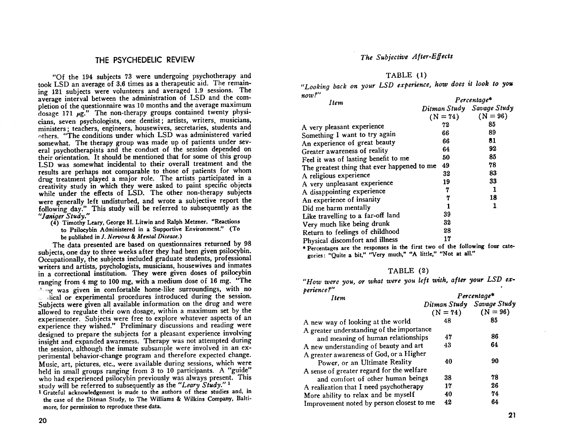### THE PSYCHEDELI**C**REVIEW **Th**e S**ubjective After**-**E**ff**ects**

"Of the 194 subjects 73 were undergoing psychotherapy and TABLE (1)<br>took LSD an average of 3.6 times as a therapeutic aid. The remain-<br>The remain-<br>The remain-<br>The remain-<br>The remain-<br>The remain-<br>The remain-<br>The remain-<br>The ing 121 subjects were volunteers and averaged 1.9 sessions. The  $\frac{1}{2}$  subjects were volunted and averaged 1.9 sessions. The  $\frac{1}{2}$  *now?*  $\frac{1}{2}$  *now?* average interval between the administration of LSD and the equipment pletion of the questionnaire was 10 months and the average maximum dosage 171  $\mu$ g." The non-therapy groups contained twenty physicians, seven psychologists, one dentist; artists, writers, musicians, ministers; teachers, engineers, housewives, secretaries, students and others. "The conditions under which LSD was administered varied somewhat. The therapy group was made up of patients under several psychotherapists and the conduct of the session depended on their orientation. It should be mentioned that for some of this group their **o**rientati**o**n. It sh**o**uld be menti**o**ne**d** that for s**o**me **o**f this *g*r**o**up LSD was somewhat incidental to their overall treatment and the *Feel information* was somewhat incidental to me *49* results are perhaps not comparable to those of patients for whom drug treatment played a major role. The artists participated in a drug treatment played a major role. The artists participated in a A reli*g*ious experience *32* 8*3* creativity study in which they were asked t**o** paint specific objects A very unpleasant experience 19 *33* while under the effects of LSD. The other non-therapy subjects were generally left undisturbed, and wrote a subjective report the following day." This study will be referred to subsequently as the for a study  $\frac{39}{4}$  and  $\frac{39}{4}$  and  $\frac{39}{4}$   $\frac{1}{2}$  is the throughing to a far-off land  $\frac{39}{4}$ 

(4) Timothy Leary, George H. Litwin and Ralph Metzner. "Reactions Very much like being drunk to Psilocybin Administered in a Supportive Environment." (To be published in *J. Nervous & Mental Disease.*)

be p*ub*l**i***s*he*d* in **J***.* **Nervous** &**Mental Disea**s**e**.) Return to feeling*s* of chil*d*hood *28* subjects, one day to three weeks after they had been given psilocybin.<br>
Foreinges: "Ouite a bit." "Very much," "A little," "Not at all." Occupationally, the subjects included graduate students, professional Occupationally, the *s*ubject*s* included *g*raduate student*s***,** professional *go*ries: "*Q*uite a bit," "Very mu*c*h," "*A* little," "N*o*t at all." writer*s* and artist*s***,** psycholo*g*ists**,** mu*s*ician*s***,** housewives and inmate*s* in a correctional institution. They were given doses of psilocybin<br>ranging from 4 mg to 100 mg, with a medium dose of 16 mg. "The "How were you, or what were you left with, after your LSD ex- $\frac{1}{2}$  mg was given in comfortable home-like surroundings, with no **perience?**"  $\mu$ , dical or experimental procedures introduced during the session. Subjects were given all available information on the drug and were allowed to regulate their own dosage, within a maximum set by the allowed to experimenter. Subjects were free to explore whatever aspects of an experience they wished." Preliminary discussions and reading were designed to prepare the subjects for a pleasant experience involving insight and expanded awareness. Therapy was not attempted during the session, although the inmate subsample were involved in an experimental behavior-change program and therefore expected change. Music, art, pictures, etc., were available during sessions, which were held in small groups ranging from 3 to 10 participants. A "guide" who had experienced psilocybin previously was always present. This study will be referred to subsequently as the "Leary Study."<sup>1</sup>

1 Grateful acknowledgement is made to the authors of these studies and, in the case of the Ditman Study, to The Williams & Wilkins Company, Baltimore, for permission to reproduce these data.

#### TABLE (1)

| $\boldsymbol{u}$ v $\boldsymbol{\omega}$ ;<br>Item                           | Percentage*               |  |          |
|------------------------------------------------------------------------------|---------------------------|--|----------|
|                                                                              | Ditman Study Savage Study |  |          |
|                                                                              | $(N = 74)$ $(N = 96)$     |  |          |
| A very pleasant experience                                                   | 72                        |  | 85       |
| Something I want to try again<br>An experience of great beauty               | 66<br>66                  |  | 89<br>81 |
| Greater awareness of reality                                                 | 64                        |  | 92       |
| Feel it was of lasting benefit to me                                         | 50                        |  | 85       |
| The greatest thing that ever happened to me                                  | 49                        |  | 78       |
| A religious experience                                                       | 32                        |  | 83       |
| A very unpleasant experience                                                 | 19                        |  | 33       |
| A disappointing experience                                                   | 7                         |  | 1        |
| An experience of insanity                                                    | 7                         |  | 18       |
| Did me harm mentally                                                         |                           |  | 1        |
| Like travelling to a far-off land                                            | 39                        |  |          |
| Very much like being drunk                                                   | 32                        |  |          |
| Return to feelings of childhood                                              | 28                        |  |          |
| Physical discomfort and illness                                              | 17                        |  |          |
| * Percentages are the responses in the first two of the following four cate- |                           |  |          |

#### TABLE (2)

| <b>Item</b>                                                                                                           | $Percentage$ <sup>*</sup> |            |
|-----------------------------------------------------------------------------------------------------------------------|---------------------------|------------|
|                                                                                                                       | Ditman Study Savage Study |            |
|                                                                                                                       | $(N = 74)$                | $(N = 96)$ |
| A new way of looking at the world                                                                                     | 48                        | 85         |
| A greater understanding of the importance                                                                             |                           |            |
| and meaning of human relationships                                                                                    | 47                        | 86         |
| A new understanding of beauty and art                                                                                 | 43                        | 64         |
| A greater awareness of God, or a Higher<br>Power, or an Ultimate Reality<br>A sense of greater regard for the welfare | 40                        | 90         |
| and comfort of other human beings                                                                                     | 38                        | 78         |
| A realization that I need psychotherapy                                                                               | 17                        | 26         |
| More ability to relax and be myself                                                                                   | 40                        | 74         |
| Improvement noted by person closest to me                                                                             | 42                        | 64         |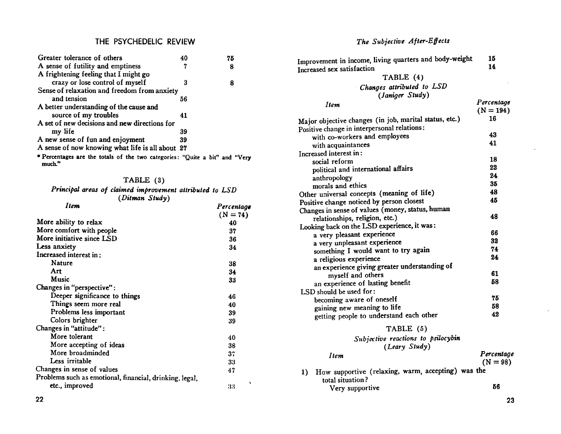#### THE PSYCHEDELIC REVIEW

| Greater tolerance of others                                                           | 40 | 75 |
|---------------------------------------------------------------------------------------|----|----|
| A sense of futility and emptiness                                                     | 7  | 8  |
| A frightening feeling that I might go                                                 |    |    |
| crazy or lose control of myself                                                       | 3  | 8  |
| Sense of relaxation and freedom from anxiety                                          |    |    |
| and tension                                                                           | 56 |    |
| A better understanding of the cause and                                               |    |    |
| source of my troubles                                                                 | 41 |    |
| A set of new decisions and new directions for                                         |    |    |
| my life                                                                               | 39 |    |
| A new sense of fun and enjoyment                                                      | 39 |    |
| A sense of now knowing what life is all about 27                                      |    |    |
| * Percentages are the totals of the two categories: "Quite a bit" and "Very<br>much." |    |    |

#### TABLE (3)

Principal areas of claimed improvement attributed to LSD<br>(Ditman Study)

| .<br>Item                                               | Percentage |  |
|---------------------------------------------------------|------------|--|
|                                                         | $(N = 74)$ |  |
| More ability to relax                                   | 40         |  |
| More comfort with people                                | 37         |  |
| More initiative since LSD                               | 36         |  |
| Less anxiety                                            | 34         |  |
| Increased interest in:                                  |            |  |
| Nature                                                  | 38         |  |
| Art                                                     | 34         |  |
| Music                                                   | 33         |  |
| Changes in "perspective":                               |            |  |
| Deeper significance to things                           | 46         |  |
| Things seem more real                                   | 40         |  |
| Problems less important                                 | 39         |  |
| Colors brighter                                         | 39         |  |
| Changes in "attitude":                                  |            |  |
| More tolerant                                           | 40         |  |
| More accepting of ideas                                 | 38         |  |
| More broadminded                                        | 37         |  |
| Less irritable                                          | 33         |  |
| Changes in sense of values                              | 47         |  |
| Problems such as emotional, financial, drinking, legal, |            |  |
| etc., improved                                          | ۰<br>33    |  |
|                                                         |            |  |

The Subjective After-Effects

| Improvement in income, living quarters and body-weight<br>Increased sex satisfaction | 15<br>14    |
|--------------------------------------------------------------------------------------|-------------|
| TABLE (4)                                                                            |             |
| Changes attributed to LSD<br>(Janiger Study)                                         |             |
| Item                                                                                 | Percentage  |
|                                                                                      | $(N = 194)$ |
| Major objective changes (in job, marital status, etc.)                               | 16          |
| Positive change in interpersonal relations:                                          |             |
| with co-workers and employees                                                        | 43          |
| with acquaintances                                                                   | 41          |
| Increased interest in:                                                               |             |
| social reform                                                                        | 18          |
| political and international affairs                                                  | 22          |
| anthropology                                                                         | 24          |
| morals and ethics                                                                    | 35          |
| Other universal concepts (meaning of life)                                           | 48          |
| Positive change noticed by person closest                                            | 45          |
| Changes in sense of values (money, status, human                                     |             |
| relationships, religion, etc.)                                                       | 48          |
| Looking back on the LSD experience, it was:                                          |             |
| a very pleasant experience                                                           | 66          |
| a very unpleasant experience                                                         | 32          |
| something I would want to try again                                                  | 74          |
| a religious experience                                                               | 24          |
| an experience giving greater understanding of                                        |             |
| myself and others                                                                    | 61          |
| an experience of lasting benefit                                                     | 58          |
| LSD should be used for:                                                              |             |
| becoming aware of oneself                                                            | 75          |
| gaining new meaning to life                                                          | 58          |
| getting people to understand each other                                              | 42          |
| TABLE (5)                                                                            |             |
| Subjective reactions to psilocybin<br>(Leary Study)                                  |             |
|                                                                                      | Percentage  |
| Item                                                                                 | $(N = 98)$  |
| How supportive (relaxing, warm, accepting) was the<br>1)                             |             |
| total situation?                                                                     | 56          |
| Very supportive                                                                      |             |

 $\ddot{\phantom{a}}$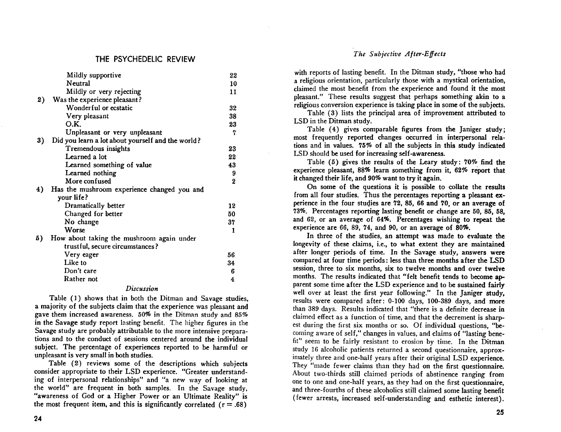#### THE PSY**C**HEDELI**C** REVIEW **The Subjective After**-**Effects**

|    | Mildly supportive                                 | 22       | will reports or lasting belief. The the Driman study, those wild had     |
|----|---------------------------------------------------|----------|--------------------------------------------------------------------------|
|    | Neutral                                           | 10       | a religious orientation, particularly those with a mystical orientation, |
|    | Mildly or very rejecting                          | 11       | claimed the most benefit from the experience and found it the most       |
| 2) | Was the experience pleasant?                      |          | pleasant." These results suggest that perhaps something akin to a        |
|    | Wonderful or ecstatic                             | 32       | religious conversion experience is taking place in some of the subjects. |
|    | Very pleasant                                     | 38       | Table (3) lists the principal area of improvement attributed to          |
|    | O.K.                                              | 23       | LSD in the Ditman study.                                                 |
|    | Unpleasant or very unpleasant                     |          | Table (4) gives comparable figures from the Janiger study;               |
| 3) | Did you learn a lot about yourself and the world? |          | most frequently reported changes occurred in interpersonal rela-         |
|    | Tremendous insights                               | 23       | tions and in values. 75% of all the subjects in this study indicated     |
|    | Learned a lot                                     | 22       | LSD should be used for increasing self-awareness.                        |
|    | Learned something of value                        | 43       | Table (5) gives the results of the Leary study: 70% find the             |
|    | Learned nothing                                   |          | experience pleasant, 88% learn something from it, 62% report that        |
|    | More confused                                     | $\bf{2}$ | it changed their life, and 90% want to try it again.                     |
| 4) | Has the mushroom experience changed you and       |          | On some of the questions it is possible to collate the results           |
|    | your life?                                        |          | from all four studies. Thus the percentages reporting a pleasant ex-     |
|    | Dramatically better                               | 12       | perience in the four studies are 72, 85, 66 and 70, or an average of     |
|    | Changed for better                                | 50       | 73%. Percentages reporting lasting benefit or change are 50, 85, 58,     |
|    | No change                                         | 37       | and 62, or an average of 64%. Percentages wishing to repeat the          |
|    | Worse                                             |          | experience are 66, 89, 74, and 90, or an average of 80%.                 |
| 5) | How about taking the mushroom again under         |          | In three of the studies, an attempt was made to evaluate the             |
|    | trustful, secure circumstances?                   |          | longevity of these claims, i.e., to what extent they are maintained      |
|    | Very eager                                        | 56       | after longer periods of time. In the Savage study, answers were          |
|    | Like to                                           | 34       | compared at four time periods: less than three months after the LSD      |
|    | Don't care                                        | 6        | session, three to six months, six to twelve months and over twelve       |
|    | Rather not                                        |          | months. The results indicated that "felt benefit tends to become ap-     |
|    |                                                   |          | parent some time often the LCD ovperience and to be quoteined fainty     |

#### Discussion

a majority of the subjects claim that the experience was pleasant and a majority of the subjects claim that the experience was pleasant and<br>gave them increased awareness. 50% in the Ditman study and 85% claimed effect as a function of time, and that the decrement is sharpin the Savage study report lasting benefit. The higher figures in the est during the first six months or so. Of individual questions, "be-Savage study are probably attributable to the more intensive prepara-Savage study are probably attributable to the more intensive prepara-<br>
soming aware of self," changes in values, and claims of "lasting bene-<br>
fit" seem to be fairly resistant to erosion by time. In the Ditman tions and to the conduct of sessions centered around the individual fit" seem to be fairly resistant to erosion by time. In the Ditman<br>subject. The percentage of experiences reported to be harmful or study 16 alcoholic pat subject. The percentage of experiences reported to be harmful or study 16 alcoholic patients returned a second questionnaire, approx-<br>unpleasant is very small in both studies.

Table (2) reviews some of the descriptions which subjects They "made fewer claims than they had on the first questionnaire.<br>
consider appropriate to their LSD experience. "Greater understand-<br>
About two-thirds still claime ing of interpersonal relationships" and "a new way of looking at one to one and one-half years, as they had on the first questionnaire, the world" are frequent in both samples. In the Savage study, and three-fourths of these alcoholics still claimed some lasting benefit " awareness of God or a Higher Power or an Ultimate Reality" is (fewer arrests, increased self-understanding and esthetic interest). the most frequent item, and this is significantly correlated  $(r = .68)$  (rewer arrests, increased self-understanding and esthetic interest).

#### The Subjective After-Effects

with reports of lasting benefit. In the Ditman study, "those who had<br>a religious orientation, particularly those with a mystical orientation, claimed the most benefit from the experience and found it the most pleasant." These results suggest that perhaps something akin to a 2) Was the experience pleasant? **please that the experience** pleasant. These results suggest that perhaps something akin to a

5) How about taking the mushroom again under In the studies of the studies of the studies of the studies of the studies of the studies of the studies of the studies of the studies of the studies of the studies of the studi trustful, secure circumstances? **longer comparishes** and the claims, i.e., to what extent they are maintained Very eager 56 after longitude to the Savarover of the Savarover periods of time. In the Savarover were study, and the Savarover were study, and the Savarover were study, and the Savarover were study, and the Savarover were Like to *3*4 compared at f**o**ur time periods: less than three m**o**nths after the *L*SD session, three to six months, six to twelve months and over twelve months. The results indicated that "felt benefit tends to become apparent some time after the *L*SD experience and t**o** be sustained fairly Which well over at least the first year following." In the Janiger study,<br>Table (1) shows that in both the Ditman and Savage studies,<br>mesults were compared after: 0-100 days, 100-389 days, and more easant is very small in both studies.<br>
Table (2) reviews some of the descriptions which subjects They "made fewer claims than they had on the first quastionnaire.